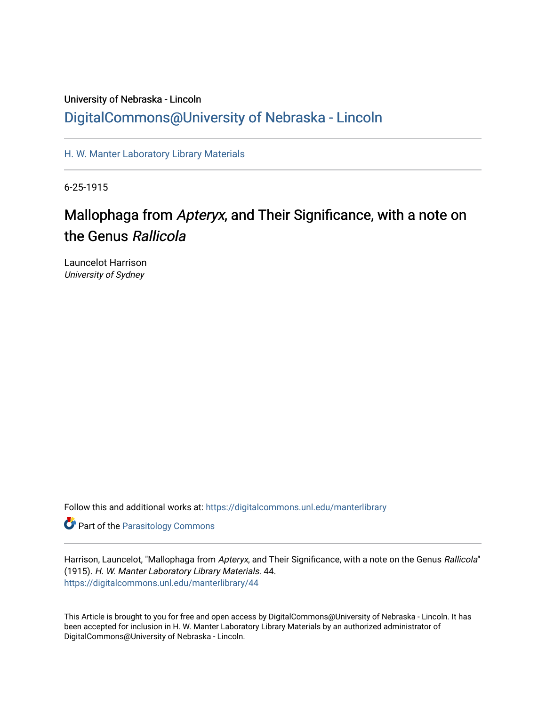# University of Nebraska - Lincoln [DigitalCommons@University of Nebraska - Lincoln](https://digitalcommons.unl.edu/)

[H. W. Manter Laboratory Library Materials](https://digitalcommons.unl.edu/manterlibrary) 

6-25-1915

# Mallophaga from Apteryx, and Their Significance, with a note on the Genus Rallicola

Launcelot Harrison University of Sydney

Follow this and additional works at: [https://digitalcommons.unl.edu/manterlibrary](https://digitalcommons.unl.edu/manterlibrary?utm_source=digitalcommons.unl.edu%2Fmanterlibrary%2F44&utm_medium=PDF&utm_campaign=PDFCoverPages) 

**Part of the [Parasitology Commons](http://network.bepress.com/hgg/discipline/39?utm_source=digitalcommons.unl.edu%2Fmanterlibrary%2F44&utm_medium=PDF&utm_campaign=PDFCoverPages)** 

Harrison, Launcelot, "Mallophaga from Apteryx, and Their Significance, with a note on the Genus Rallicola" (1915). H. W. Manter Laboratory Library Materials. 44. [https://digitalcommons.unl.edu/manterlibrary/44](https://digitalcommons.unl.edu/manterlibrary/44?utm_source=digitalcommons.unl.edu%2Fmanterlibrary%2F44&utm_medium=PDF&utm_campaign=PDFCoverPages)

This Article is brought to you for free and open access by DigitalCommons@University of Nebraska - Lincoln. It has been accepted for inclusion in H. W. Manter Laboratory Library Materials by an authorized administrator of DigitalCommons@University of Nebraska - Lincoln.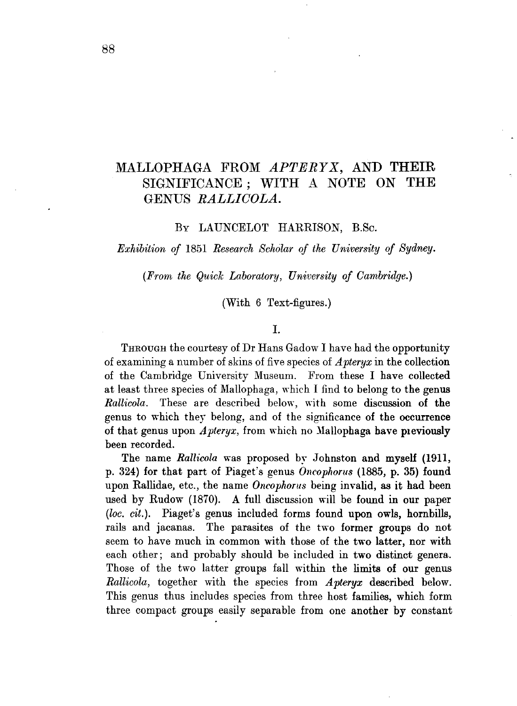# MALLOPHAGA FROM *APTERYX,* AND THEIR SIGNIFICANCE ; WITH A NOTE ON THE GENUS *RALLIOOLA.*

## Bv LAUNCELOT HARRISON, B.Sc.

#### *Exhibition of* 1851 *Research Scholar of the University of Sydney.*

*(From the Quick Laboratory, University of Cambridge.)* 

(With 6 Text-figures.)

## I.

THROUGH the courtesy of Dr Hans Gadow I have had the opportunity of examining a number of skins of five species of *Apteryx* in the collection of the Cambridge University Museum. From these I have collected at least three species of Mallophaga, which I find to belong to the genus *Rallicola.* These are described below, with some discussion of the genus to which they belong, and of the significance of the occurrence of that genus upon  $\Lambda$ *pteryx*, from which no Mallophaga have pieviously been recorded.

The name *Rallicola* was proposed by Johnston and myself (1911, p. 324) for that part of Piaget's genus *Oncophorus* (1885, p. 35) found upon Rallidae, etc., the name *Oncophorus* being invalid, as it had been used by Rudow (1870). A full discussion will be found in our paper *(loc. cit.).* Piaget's genus included forms found upon owls, hornbills, rails and jacanas. The parasites of the two former groups do not seem to have much in common with those of the two latter, nor with each other; and probably should be included in two distinct genera. Those of the two latter groups fall within the limits of our genus *Rallicola,* together with the species from *Apteryx* described below. This genus thus includes species from three host families, which form three compact groups easily separable from one another by constant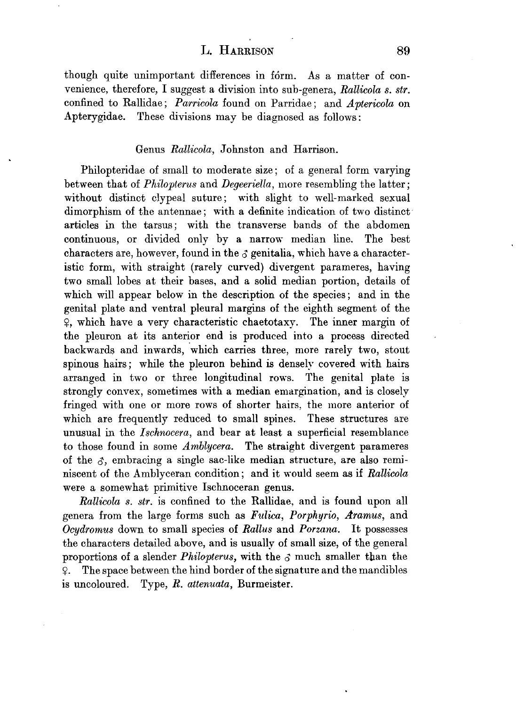## **L. HARRISON** 89

though quite unimportant differences in form. As a matter of convenience, therefore, I suggest a division into sub-genera, *Rallicola 8. 8tr.*  confined to Rallidae; *Parricola* found on Parridae; and *Aptericola* on Apterygidae. These divisions may be diagnosed as follows:

## Genus *Rallicola,* Johnston and Harrison.

Philopteridae of small to moderate size; of a general form varying between that of *Philopteru8* and *Degeeriella,* more resembling the latter; without distinct clypeal suture; with slight to well-marked sexual dimorphism of the antennae; with a definite indication of two distinct articles in the tarsus; with the transverse bands of the abdomen continuous, or divided only by a narrow median line. The best characters are, however, found in the  $\delta$  genitalia, which have a characteristic form, with straight (rarely curved) divergent parameres, having two small lobes at their bases, and a solid median portion, details of which will appear below in the description of the species; and in the genital plate and ventral pleural margins of the eighth segment of the 5?, which have a very characteristic chaetotaxy. The inner margin of the pleuron at its anterior end is produced into a process directed backwards and inwards, which carries three, more rarely two, stout spinous hairs; while the pleuron behind is densely covered with hairs arranged in two or three longitudinal rows. The genital plate is strongly convex, sometimes with a median emargination, and is closely fringed with one or more rows of shorter hairs, the more anterior of which are frequently reduced to small spines. These structures are unusual in the *Ischnocera*, and bear at least a superficial resemblance to those found in some *Amblycera.* The straight divergent parameres of the  $\delta$ , embracing a single sac-like median structure, are also reminiscent of the Amblyceran condition; and it would seem as if *Rallicola*  were a somewhat primitive Ischnoceran genus.

*Rallicola 8. 8tr.* is confined to the Rallidae, and is found upon all genera from the large forms such as *Fiilica, Porphyrio, Aramu8,* and *Ocydromu8* down to small species of *Rallu8* and *Porzana.* It possesses the characters detailed above, and is usually of small size, of the general proportions of a slender *Philopteru8,* with the *3* much smaller than the 5?. The space between the hind border of the signature and the mandibles is uncoloured. Type, *R. attenuata,* Burmeister.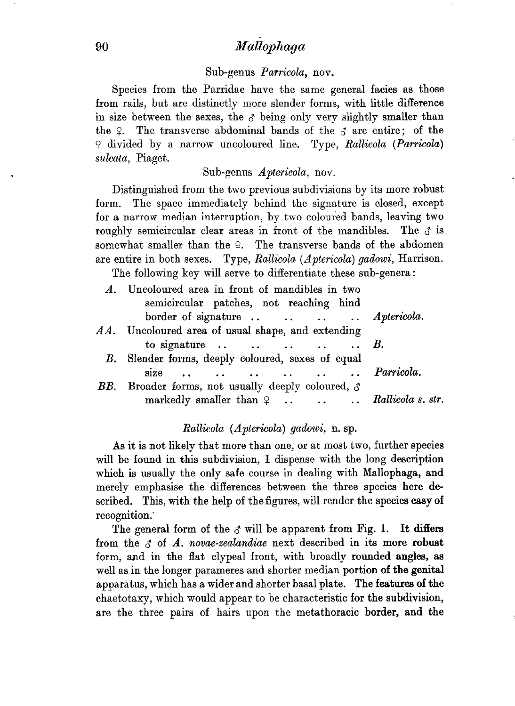#### Sub-genus *Patricola,* nov.

Species from the Parridae have the same general facies as those from rails, but are distinctly more slender forms, with little difference in size between the sexes, the  $\sigma$  being only very slightly smaller than the  $\Omega$ . The transverse abdominal bands of the  $\sigma$  are entire; of the <sup>~</sup>divided by a narrow uncoloured line. Type, *Rallicola (Parricola) sulcata,* Piaget.

#### Sub-genus *Aptericola,* nov.

Distinguished from the two previous subdivisions by its more robust form. The space immediately behind the signature is closed, except for a narrow median interruption, by two coloured bands, leaving two roughly semicircular clear areas in front of the mandibles. The  $\delta$  is somewhat smaller than the  $\Omega$ . The transverse bands of the abdomen are entire in both sexes. Type, *Rallicola (Aptericola) gadowi,* Harrison.

The following key will serve to differentiate these sub-genera:

| A. Uncoloured area in front of mandibles in two                 |  |
|-----------------------------------------------------------------|--|
| semicircular patches, not reaching hind                         |  |
|                                                                 |  |
| AA. Uncoloured area of usual shape, and extending               |  |
| to signature $\ldots$ $\ldots$ $\ldots$ $\ldots$ $\ldots$ $B$ . |  |
| B. Slender forms, deeply coloured, sexes of equal               |  |
| size Parricola.                                                 |  |
| BB. Broader forms, not usually deeply coloured, $\delta$        |  |
| markedly smaller than $\varphi$ Rallicola s. str.               |  |

## *Rallicola (Aptericola) gadowi,* n. sp.

As it is not likely that more than one, or at most two, further species will be found in this subdivision, I dispense with the long description which is usually the only safe course in dealing with Mallophaga, **and**  merely emphasise the differences between the three species here described. This, with the help of the figures, will render the species easy of recognition.

The general form of the  $\gamma$  will be apparent from Fig. 1. It differs from the  $\zeta$  of *A. novae-zealandiae* next described in its more robust form, and in the flat clypeal front, with broadly rounded angles, as well as in the longer parameres and shorter median portion of the genital apparatus, which has a wider and shorter basal plate. The features of the chaetotaxy, which would appear to be characteristic for the subdivision, are the three pairs of hairs upon the metathoracic border, and the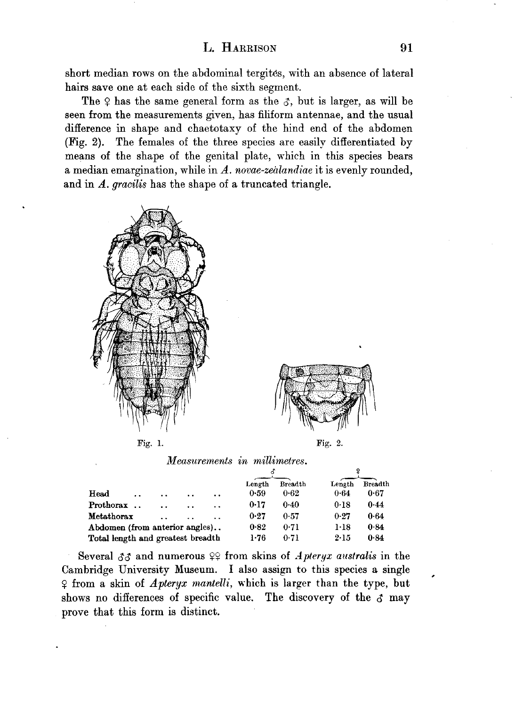short median rows on the abdominal tergites, with an absence of lateral hairs save one at each side of the sixth segment.

The  $9$  has the same general form as the  $\beta$ , but is larger, as will be seen from the measurements given, has filiform antennae, and the usual difference in shape and chaetotaxy of the hind end of the abdomen (Fig. 2). The females of the three species are easily differentiated by means of the shape of the genital plate, which in this species bears a median emargination, while in *A. novae-zealandiae* it is evenly rounded, and in *A. gracilis* has the shape of a truncated triangle.





Fig. 2.

*Measurements in millimetres.* 

|                                   |        |                      |                      |                      | Length | <b>Breadth</b> | Length | <b>Breadth</b> |
|-----------------------------------|--------|----------------------|----------------------|----------------------|--------|----------------|--------|----------------|
| $\rm Head$                        | . .    | $\ddot{\phantom{0}}$ | $\ddot{\phantom{0}}$ | $\ddot{\phantom{0}}$ | 0.59   | 0.62           | 0.64   | 0.67           |
| Prothorax                         | $\sim$ | ٠.                   | $\ddot{\phantom{1}}$ | $\ddot{\phantom{a}}$ | 0.17   | 0.40           | 0.18   | 0.44           |
| Metathorax                        |        |                      | $\ddot{\phantom{1}}$ | $\ddot{\phantom{1}}$ | 0.27   | 0.57           | 0.27   | 0.64           |
| Abdomen (from anterior angles)    |        |                      |                      |                      | 0.82   | 0.71           | 1.18   | 0.84           |
| Total length and greatest breadth |        |                      |                      |                      | 1.76   | 0.71           | 2.15   | 0.84           |

Several  $\delta \delta$  and numerous  $\varphi$  from skins of *A pteryx australis* in the Cambridge University Museum. I also assign to this species a single *<;>* from a skin of *Apteryx mantelli,* which is larger than the type, but shows no differences of specific value. The discovery of the  $\delta$  may prove that this form is distinct.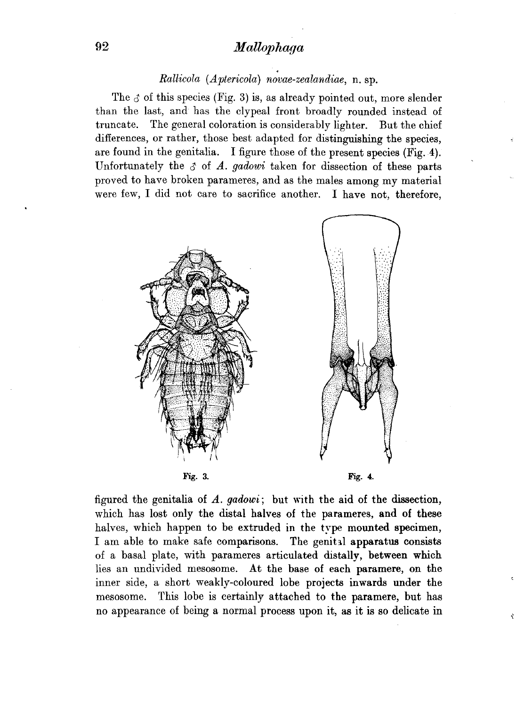## . *Rallicola (Aptericola) novae-zealandiae,* n. sp.

The  $\zeta$  of this species (Fig. 3) is, as already pointed out, more slender than the last, and has the clypeal front broadly rounded instead of truncate. The general coloration is considerably lighter. But the chief differences, or rather, those best adapted for distinguishing the species, are found in the genitalia. I figure those of the present species (Fig. 4). Unfortunately the  $\delta$  of  $\Lambda$ . *gadowi* taken for dissection of these parts proved to have broken parameres, and as the males among my material were few, I did not care to sacrifice another. I have not, therefore,



figured the genitalia of A. *gadowi;* but with the aid of the dissection, which has lost only the distal halves of the parameres, and of these halves, which happen to be extruded in the type mounted specimen, I am able to make safe comparisons. The genital apparatus consists of a basal plate, with parameres articulated distally, between which lies an undivided mesosome. At the base of each paramere, on the inner side, a short weakly-coloured lobe projects inwards under the mesosome. This lobe is certainly attached to the paramere, but has no appearance of being a normal process upon it, as it is so delicate in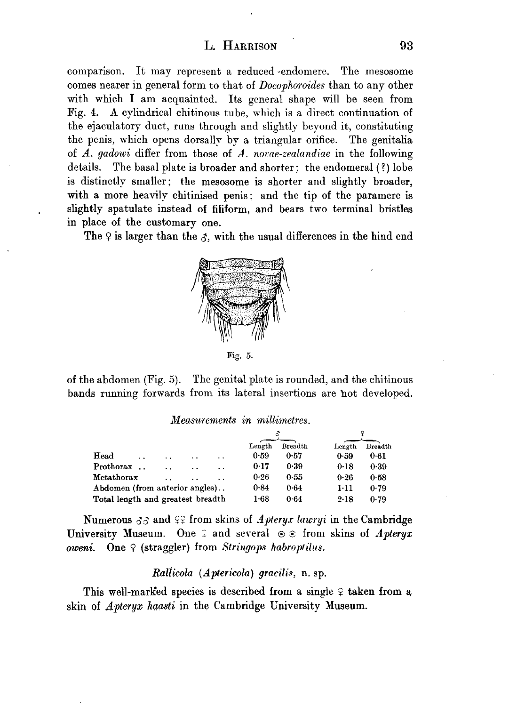comparison. It may represent a reduced •endomere. The mesosome comes nearer in general form to that of *Docophoroides* than to any other with which I am acquainted. Its general shape will be seen from Fig. 4. **A** cylindrical chitinous tube, which is a direct continuation of the ejaculatory duct, runs through and slightly beyond it, constituting the penis, which opens dorsally by a triangular orifice. The genitalia of *A. gadowi* differ from those of *A. norae-zealandiae* in the following details. The basal plate is broader and shorter: the endomeral (?) lobe is distinctly smaller; the mesosome is shorter and slightly broader, with a more heavily chitinised penis; and the tip of the paramere is slightly spatulate instead of filiform, and bears two terminal bristles m place of the customary one.

The  $\varphi$  is larger than the  $\varphi$ , with the usual differences in the hind end



Fig. 5.

of the abdomen (Fig. 5). The genital plate is rounded, and the chitinous bands running forwards from its lateral insertions are hot developed.

*Measurements in millimetres.* 

|                                   |        |                      |                      |                      | Length | <b>Breadth</b> | Length | <b>Breadth</b> |
|-----------------------------------|--------|----------------------|----------------------|----------------------|--------|----------------|--------|----------------|
| Head                              |        | $\ddot{\phantom{a}}$ | $\cdot$ .            | $\ddot{\phantom{0}}$ | 0.59   | 0.57           | 0.59   | $0 - 61$       |
| Prothorax                         | $\sim$ | $\ddot{\phantom{0}}$ | $\ddot{\phantom{0}}$ | . .                  | 0.17   | 0.39           | 0.18   | 0.39           |
| Metathorax                        |        |                      |                      | $\ddotsc$            | 0.26   | 0.55           | 0.26   | 0.58           |
| Abdomen (from anterior angles)    |        |                      |                      |                      | 0.84   | 0.64           | 1-11   | 0.79           |
| Total length and greatest breadth |        |                      |                      |                      | $1-68$ | 0.64           | 2.18   | 0.79           |

Numerous  $33$  and  $99$  from skins of *Apteryx lawryi* in the Cambridge University Museum. One  $\hat{z}$  and several  $\hat{\phi} \in \hat{z}$  from skins of *Apteryx oweni.* One  $\varphi$  (straggler) from *Stringops habroptilus.* 

#### *Ralticola (Aptericola) gracilis,* n. sp.

This well-marked species is described from a single  $\varphi$  taken from a. skin of *Apteryx haasti* in the Cambridge University Museum.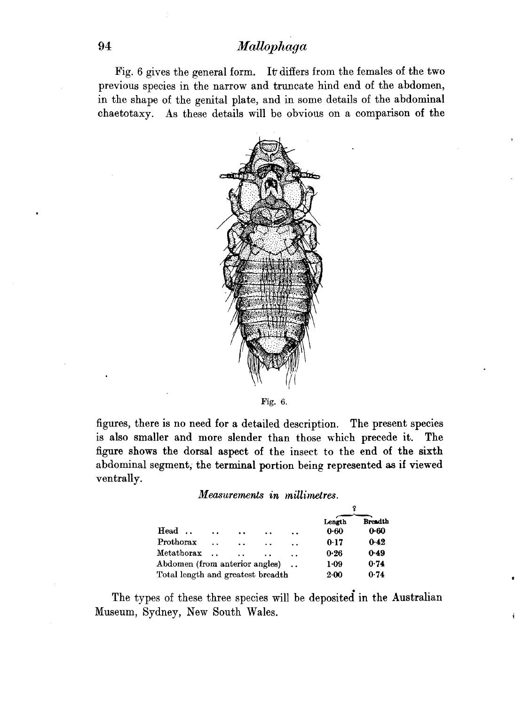Fig. 6 gives the general form. It differs from the females of the two previous species in the narrow and truncate hind end of the abdomen, in the shape of the genital plate, and in some details of the abdominal chaetotaxy. As these details will be obvious on a comparison of the



Fig. 6.

figures, there is no need for a detailed description. The present species is also smaller and more slender than those which precede it. The figure shows the dorsal aspect of the insect to the end of the sixth abdominal segment, the terminal portion being represented as if viewed ventrally.

*Measurements in millimetres.* 

| Head                              | $\ddot{\phantom{1}}$ | $\ddot{\phantom{a}}$ | $\ddot{\phantom{1}}$ | $\ddot{\phantom{a}}$ | Length<br>$0 - 60$ | <b>Breadth</b><br>$0 - 60$ |
|-----------------------------------|----------------------|----------------------|----------------------|----------------------|--------------------|----------------------------|
| Prothorax                         |                      | $\ddot{\phantom{1}}$ |                      | $\ddot{\phantom{a}}$ | 0.17               | $0 - 42$                   |
| Metathorax                        |                      |                      |                      | $\ddot{\phantom{0}}$ | 0.26               | $0 - 49$                   |
| Abdomen (from anterior angles)    |                      |                      |                      |                      | $1 - 09$           | 0.74                       |
| Total length and greatest breadth |                      |                      |                      |                      | $2 - 00$           | 0.74                       |

The types of these three species will be deposited in the Australian Museum, Sydney, New South Wales.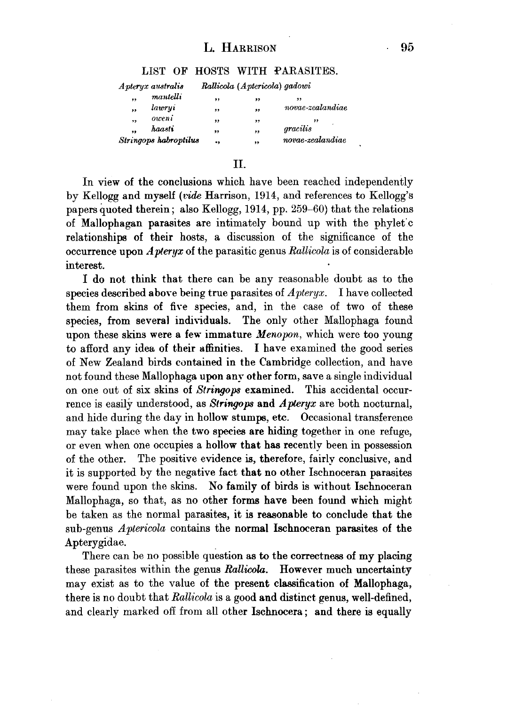## **L. HARRISON**

## LIST OF HOSTS WITH PARASITES.

|    | A pteryx australis    |    |              | Rallicola (Aptericola) gadowi |
|----|-----------------------|----|--------------|-------------------------------|
| ,, | mantelli              | ,, | ,,           | ,,                            |
| ,, | lawryi                | ,, | ,,           | novae-zealandiae              |
| 99 | oweni                 | ,, | , ,          | ,,                            |
| ,, | haasti                | ,, | ,,           | gracilis                      |
|    | Stringops habroptilus | ., | $^{\bullet}$ | novae-zealandiae              |

## IL

In view of the conclusions which have been reached independently by Kellogg and myself *(ride* Harrison, 1914, and references to Kellogg's papers quoted therein; also Kellogg, 1914, pp. 259-60) that the relations of Mallophagan parasites are intimately bound up with the phylet·c relationships of their hosts, a discussion of the significance of the occurrence upon *Apteryx* of the parasitic genus *Rallicola* is of considerable interest\_

I do not think that there can be any reasonable doubt as to the species described above being true parasites of *Apteryx.* I have collected them from skins of five species, and, in the case of two of these species, from several individuals. The only other Mallophaga found upon these skins were a few immature *Menopon*, which were too young to afford any idea of their affinities. I have examined the good series of New Zealand birds contained in the Cambridge collection, and have not found these Mallophaga upon any other form, save a single individual on one out of six skins of *Stringops* examined. This accidental occurrence is easily understood, as *Stringops* and *A pteryx* are both nocturnal, and hide during the day in hollow stumps, etc. Occasional transference may take place when the two species are hiding together in one refuge, or even when one occupies a hollow that has recently been in possession of the other. The positive evidence is, therefore, fairly conclusive, and it is supported by the negative fact that no other Ischnoceran parasites were found upon the skins. No family of birds is without Ischnoceran Mallophaga, so that, as no other forms have been found which might be taken as the normal parasites, it is reasonable to conclude that the sub-genus *Aptericola* contains the normal Ischnoceran parasites of the Apterygidae.

There can be no possible question as to the correctness of my placing these parasites within the genus *Rallicola*. However much uncertainty may exist as to the value of the present classification of Mallophaga, there is no doubt that *Rallicola* is a good and distinct genus, well-defined, and clearly marked off from all other Ischnocera ; and there is equally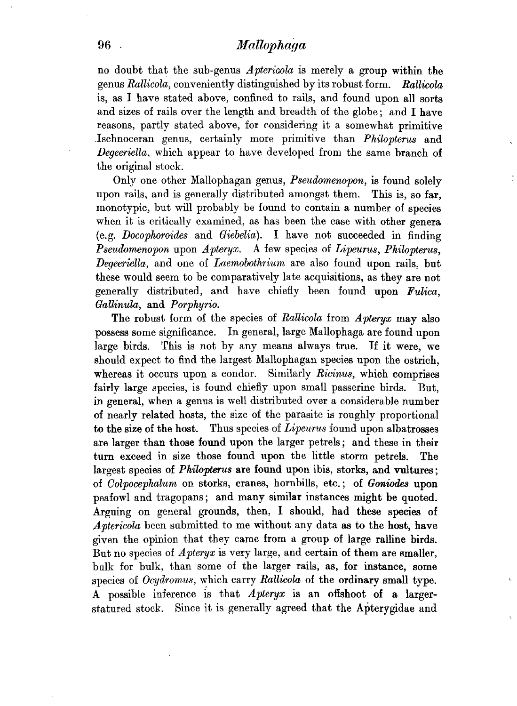no doubt that the sub-genus *Apteriaola* is merely a group within the genus *Rallicola,* conveniently distinguished by its robust form. *Rallicola*  is, as I have stated above, confined to rails, and found upon all sorts and sizes of rails over the length and breadth of the globe; and I have reasons, partly stated above, for considering it a somewhat primitive .Ischnoceran genus, certainly more primitive than *Philopterus* and *Degeeriella,* which appear to have developed from the same branch of the original stock.

Only one other Mallophagan genus, *Pseuilomenopon,* is found solely upon rails, and is generally distributed amongst them. This is, so far, monotypic, but will probably be found to contain a number of species when it is critically examined, as has been the case with other genera (e.g. *Docophoroiiles* and *Giebelia).* I have not succeeded in finding *Pseudomenopon* upon *Apteryx.* A few species of *Lipeurus, Philopterus, Degeeriella,* and one of *Laemobothrium* are also found upon rails, but these would seem to be comparatively late acquisitions, as they are not generally distributed, and have chiefly been found upon *Fulica, Gallinula,* and *Porphyrio.* 

The robust form of the species of *Rallicola* from *Apteryx* may also possess some significance. In general, large Mallophaga are found upon large birds. This is not by any means always true. If it were, we should expect to find the largest Mallophagan species upon the ostrich, whereas it occurs upon a condor. Similarly *Ricinus,* which comprises fairly large species, is found chiefly upon small passerine birds. But, in general, when a genus is well distributed over a considerable number of nearly related hosts, the size of the parasite is roughly proportional to the size of the host. Thus species of *Lipeurus* found upon albatrosses are larger than those found upon the larger petrels; and these in their turn exceed in size those found upon the little storm petrels. The largest species of *Philopterus* are found upon ibis, storks, and vultures; of *Colpocephalum* on storks, cranes, hornbills, etc.; of *Goniodes* upon peafowl and tragopans; and many similar instances might be quoted. Arguing on general grounds, then, I should, had these species of *Aptericola* been submitted to me without any data as to the host, have given the opinion that they came from a group of large ralline birds. But no species of *Apteryx* is very large, and certain of them are smaller, bulk for bulk, than some of the larger rails, as, for instance, some species of *Ocydromus,* which carry *Rallicola* of the ordinary small type. A possible inference is that *Apteryx* is an offshoot of a largerstatured stock. Since it is generally agreed that the Apterygidae and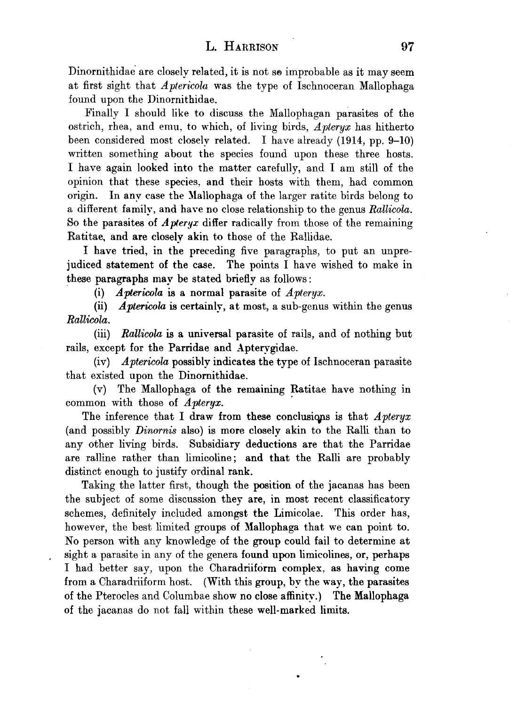Dinornithidae are closely related, it is not so improbable as it may seem at first sight that *Aptericola* was the type of Ischnoceran Mallophaga found upon the Dinornithidae.

Finally I should like to discuss the Mallophagan parasites of the ostrich, rhea, and emu, to which, of living birds, *Apteryx* has hitherto been considered most closely related. I have already (1914, pp. 9-10) written something about the species found upon these three hosts. I have again looked into the matter carefully, and I am still of the opinion that these species, and their hosts with them, had common origin. In any case the Mallophaga of the larger ratite birds belong to a different family, and have no close relationship to the genus *Rallicola.*  So the parasites of *Apteryx* differ radically from those of the remaining Ratitae, and are closely akin to those of the Rallidae.

I have tried, in the preceding five paragraphs, to put an unprejudiced statement of the case. The points I have wished to make in these paragraphs may be stated briefly as follows:

(i) *Aptericola* is a normal parasite of *Apteryx*.

(ii) *Aptericola* is certainly, at most, a sub-genus within the genus  $Rallicola$ .

(iii) *Rallicola* is a universal parasite of rails, and of nothing but rails, except for the Parridae and Apterygidae.

(iv) *Aptericola* possibly indicates the type of Ischnoceran parasite that existed upon the Dinornithidae.

(v) The Mallophaga of the remaining Ratitae have nothing in common with those of *Apteryx*.

The inference that I draw from these conclusions is that *Apteryx* (and possibly *Dinornis* also) is more closely akin to the Ralli than to any other living birds. Subsidiary deductions are that the Parridae are ralline rather than limicoline; and that the Ralli are probably distinct enough to justify ordinal rank.

Taking the latter first, though the position of the jacanas has been the subject of some discussion they are, in most recent classificatory schemes, definitely included amongst the Limicolae. This order has, however, the best limited groups of Mallophaga that we can point to. No person with any knowledge of the group could fail to determine at sight a parasite in any of the genera found upon limicolines, or, perhaps I had better say, upon the Charadriiform complex, as having come from a Charadriiform host. (With this group, by the way, the parasites of the Pterocles and Columbae show no close affinity.) The Mallophaga of the jacanas do not fall within these well-marked limits.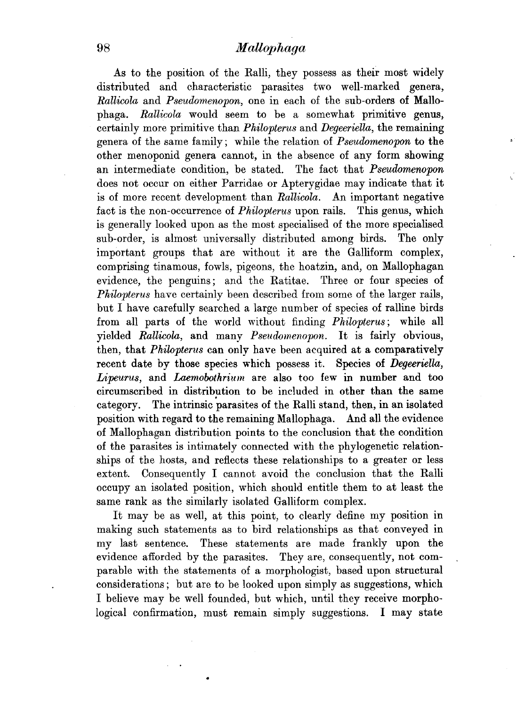As to the position of the Ralli, they possess as their most widely distributed and characteristic parasites two well-marked genera, *Rallicola* and *Pseudomenopon,* one in each of the sub-orders of Mallophaga. *Rallicola* would seem to be a somewhat primitive genus, certainly more primitive than *Philopterus* and *Degeeriella,* the remaining genera of the same family; while the relation of *Pseudomenopon* to the other menoponid genera cannot, in the absence of any form showing an intermediate condition, be stated. The fact that *Pseudomenopon*  does not occur on either Parridae or Apterygidae may indicate that it is of more recent development than *Rallicola.* An important negative fact is the non-occurrence of *Philopterus* upon rails. This genus, which is generally looked upon as the most specialised of the more specialised sub-order, is almost universally distributed among birds. The only important groups that are without it are the Galliform complex, comprising tinamous, fowls, pigeons, the hoatzin, and, on Mallophagan evidence, the penguins; and the Ratitae. Three or four species of *Philopterus* have certainly been described from some of the larger rails, but I have carefully searched a large number of species of ralline birds from all parts of the world without finding *Philopterus;* while all yielded *Rallicola,* and many *Pseudmnenopon.* It is fairly obvious, then, that *Philopterus* can only have been acquired at a comparatively recent date by those species which possess it. Species of *Degeeriella, Lipeurus,* and *Laemobothrium* are also too few in number and too circumscribed in distribution to be included in other than the same category. The intrinsic parasites of the Ralli stand, then, in an isolated position with regard to the remaining Mallophaga. And all the evidence of Mallophagan distribution points to the conclusion that the condition of the parasites is intimately connected with the phylogenetic relationships of the hosts, and reflects these relationships to a greater or less extent. Consequently I cannot avoid the conclusion that the Ralli occupy an isolated position, which should entitle them to at least the same rank as the similarly isolated Galliform complex.

It may be as well, at this point, to clearly define my position in making such statements as to bird relationships as that conveyed in my last sentence. These statements are made frankly upon the evidence afforded by the parasites. They are, consequently, not comparable with the statements of a morphologist, based upon structural considerations; but are to be looked upon simply as suggestions, which I believe may be well founded, but which, until they receive morphological confirmation, must remain simply suggestions. I may state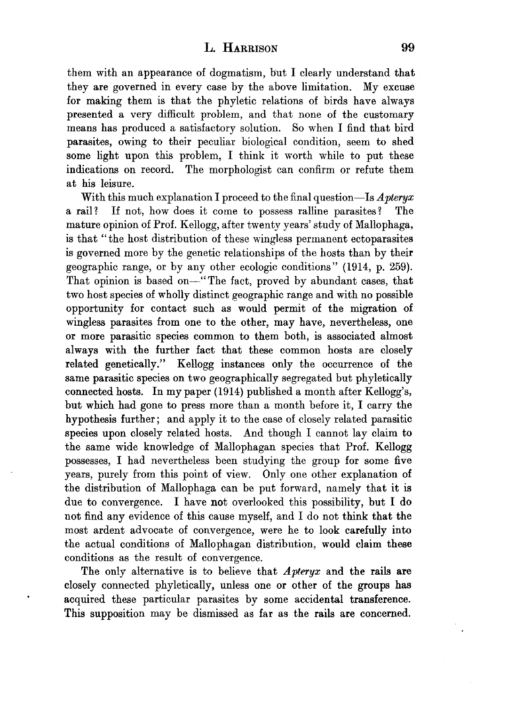## L. HARRISON 99

them with an appearance of dogmatism, but I clearly understand that they are governed in every case by the above limitation. My excuse for making them is that the phyletic relations of birds have always presented a very difficult problem, and that none of the customary means has produced a satisfactory solution. So when I find that bird parasites, owing to their peculiar biological condition, seem to shed some light upon this problem, I think it worth while to put these indications on record. The morphologist can confirm or refute them at his leisure.

With this much explanation I proceed to the final question—Is *Apteryx* a rail? If not, how does it come to possess ralline parasites? The mature opinion of Prof. Kellogg, after twenty years' study of Mallophaga, is that "the host distribution of these wingless permanent ectoparasites is governed more by the genetic relationships of the hosts than by their geographic range, or by any other ecologic conditions" (1914, p. 259). That opinion is based on-"The fact, proved by abundant cases, that two host species of wholly distinct geographic range and with no possible opportunity for contact such as would permit of the migration of wingless parasites from one to the other, may have, nevertheless, one or more parasitic species common to them both, is associated almost always with the further fact that these common hosts are closely related genetically." Kellogg instances only the occurrence of the same parasitic species on two geographically segregated but phyletically connected hosts. In my paper (1914) published a month after Kellogg's, but which had gone to press more than a month before it, I carry the hypothesis further; and apply it to the case of closely related parasitic species upon closely related hosts. And though I cannot lay claim to the same wide knowledge of Mallophagan species that Prof. Kellogg possesses, I had nevertheless been studying the group for some five years, purely from this point of view. Only one other explanation of the distribution of Mallophaga can be put forward, namely that it is due to convergence. I have not overlooked this possibility, but I do not find any evidence of this cause myself, and I do not think that the most ardent advocate of convergence, were he to look carefully into the actual conditions of Mallophagan distribution, would claim these conditions as the result of convergence.

The only alternative is to believe that *Apteryx* and the rails are closely connected phyletically, unless one or other of the groups has acquired these particular parasites by some accidental transference. This supposition may be dismissed as far as the rails are concerned.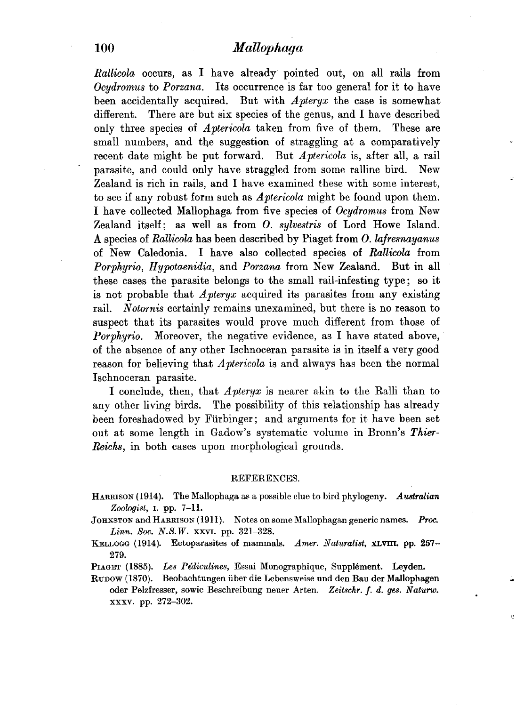*Rallicola* occurs, as I have already pointed out, on all rails from *0cydromus* to *Porzana.* Its occurrence is far too general for it to have been accidentally acquired. But with *Apteryx* the case is somewhat different. There are but six species of the genus, and I have described only three species of *Aptericola* taken from five of them. These are small numbers, and the suggestion of straggling at a comparatively recent date might be put forward. But *Aptericola* is, after all, a rail parasite, and could only have straggled from some ralline bird. New Zealand is rich in rails, and I have examined these with some interest, to see if any robust form such as *Aptericola* might be found upon them. I have collected Mallophaga from five species of *0cydromus* from New Zealand itself; as well as from *0. sylvestris* of Lord Howe Island. A species of *Rallicola* has been described by Piaget from *0. lafre.mayanus*  of New Caledonia. I have also collected species of *Rallicola* from *Porphyrio, Hypotaenidia,* and *Porzana* from New Zealand. But in all these cases the parasite belongs to the small rail-infesting type; so it is not probable that *Apteryx* acquired its parasites from any existing rail. *Notornis* certainly remains unexamined, but there is no reason to suspect that its parasites would prove much different from those of *Porphyrio.* Moreover, the negative evidence, as I have stated above, of the absence of any other Ischnoceran parasite is in itself a very good reason for believing that *Aptericola* is and always has been the normal Ischnoceran parasite.

I conclude, then, that *Apteryx* is nearer akin to the Ralli than to any other living birds. The possibility of this relationship has already been foreshadowed by Fiirbinger; and arguments for it have been set out at some length in Gadow's systematic volume in Bronn's *Thier-Reichs,* in both cases upon morphological grounds.

#### REFERENCES.

- HARRISON (1914). The Mallophaga as a possible clue to bird phylogeny. *Australian Zoologist,* I. pp. 7-11.
- JOHNSTON and HARRISON ( 1911 ). Notes on some Mallophagan generic names. *Proc. Linn. Soc. N.S.W. XXVI. pp. 321-328.*
- KELLOGG (1914). Ectoparasites of mammals. Amer. Naturalist, XLVIII. pp. 257-279.
- PIAGET (1885). Les Pédiculines, Essai Monographique, Supplément. Leyden.
- RUDOW (1870). Beobachtungen über die Lebensweise und den Bau der Mallophagen oder Pelzfresser, sowie Beschreibung neuer Arten. *Zeitschr. f. d. ges. Naturw.*  XXXV. pp. 272-302.